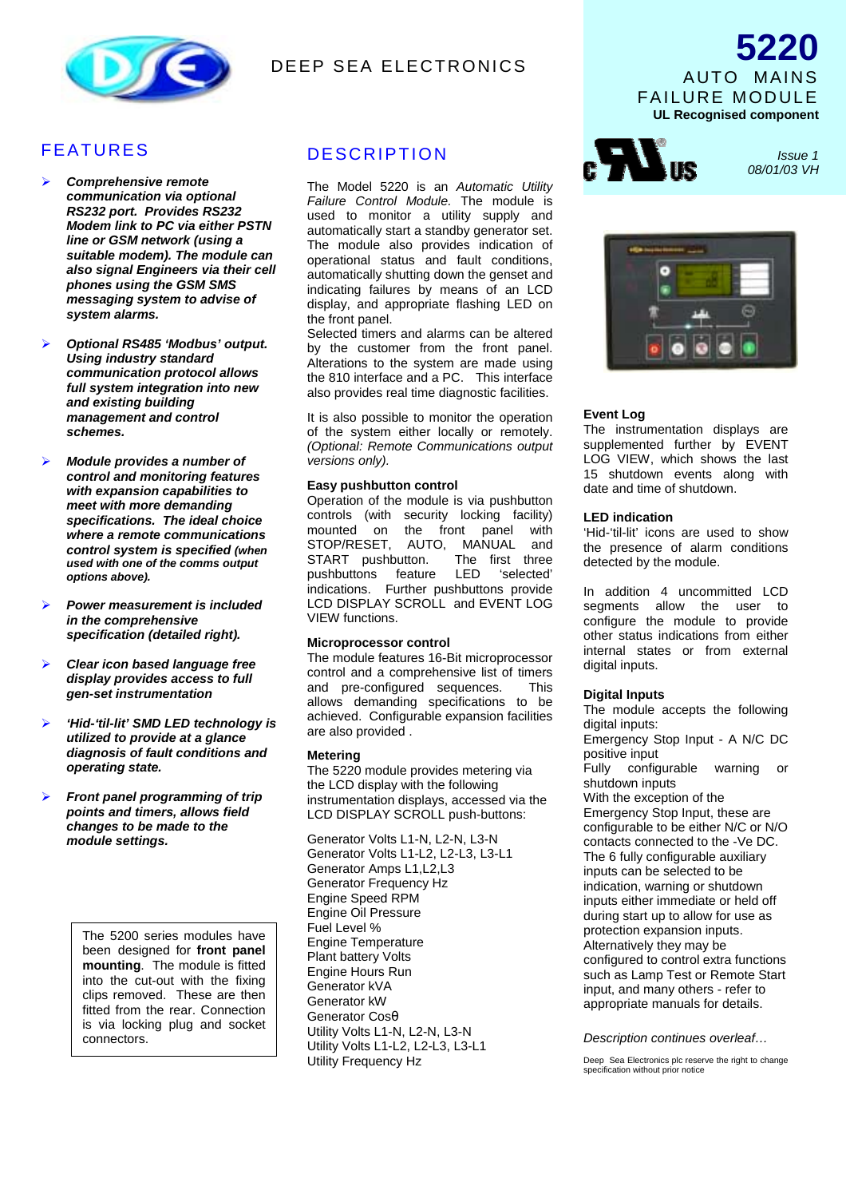

# **DEEP SEA ELECTRONICS**

# FEATURES

- *Comprehensive remote communication via optional RS232 port. Provides RS232 Modem link to PC via either PSTN line or GSM network (using a suitable modem). The module can also signal Engineers via their cell phones using the GSM SMS messaging system to advise of system alarms.*
- *Optional RS485 'Modbus' output. Using industry standard communication protocol allows full system integration into new and existing building management and control schemes.*
- *Module provides a number of control and monitoring features with expansion capabilities to meet with more demanding specifications. The ideal choice where a remote communications control system is specified (when used with one of the comms output options above).*
- *Power measurement is included in the comprehensive specification (detailed right).*
- *Clear icon based language free display provides access to full gen-set instrumentation*
- *'Hid-'til-lit' SMD LED technology is utilized to provide at a glance diagnosis of fault conditions and operating state.*
- *Front panel programming of trip points and timers, allows field changes to be made to the module settings.*

The 5200 series modules have been designed for **front panel mounting**. The module is fitted into the cut-out with the fixing clips removed. These are then fitted from the rear. Connection is via locking plug and socket connectors.

## **DESCRIPTION**

The Model 5220 is an *Automatic Utility Failure Control Module.* The module is used to monitor a utility supply and automatically start a standby generator set. The module also provides indication of operational status and fault conditions, automatically shutting down the genset and indicating failures by means of an LCD display, and appropriate flashing LED on the front panel.

Selected timers and alarms can be altered by the customer from the front panel. Alterations to the system are made using the 810 interface and a PC. This interface also provides real time diagnostic facilities.

It is also possible to monitor the operation of the system either locally or remotely. *(Optional: Remote Communications output versions only).*

### **Easy pushbutton control**

Operation of the module is via pushbutton controls (with security locking facility) mounted on the front panel with STOP/RESET, AUTO, MANUAL and<br>START pushbutton. The first three START pushbutton. pushbuttons feature LED 'selected' indications. Further pushbuttons provide LCD DISPLAY SCROLL and EVENT LOG VIEW functions.

#### **Microprocessor control**

The module features 16-Bit microprocessor control and a comprehensive list of timers and pre-configured sequences. This allows demanding specifications to be achieved. Configurable expansion facilities are also provided .

### **Metering**

The 5220 module provides metering via the LCD display with the following instrumentation displays, accessed via the LCD DISPLAY SCROLL push-buttons:

Generator Volts L1-N, L2-N, L3-N Generator Volts L1-L2, L2-L3, L3-L1 Generator Amps L1,L2,L3 Generator Frequency Hz Engine Speed RPM Engine Oil Pressure Fuel Level % Engine Temperature Plant battery Volts Engine Hours Run Generator kVA Generator kW Generator Cosθ Utility Volts L1-N, L2-N, L3-N Utility Volts L1-L2, L2-L3, L3-L1 Utility Frequency Hz



 *Issue 1 08/01/03 VH*



### **Event Log**

The instrumentation displays are supplemented further by EVENT LOG VIEW, which shows the last 15 shutdown events along with date and time of shutdown.

#### **LED indication**

'Hid-'til-lit' icons are used to show the presence of alarm conditions detected by the module.

In addition 4 uncommitted LCD segments allow the user to configure the module to provide other status indications from either internal states or from external digital inputs.

### **Digital Inputs**

The module accepts the following digital inputs: Emergency Stop Input - A N/C DC positive input Fully configurable warning or shutdown inputs With the exception of the Emergency Stop Input, these are configurable to be either N/C or N/O contacts connected to the -Ve DC. The 6 fully configurable auxiliary inputs can be selected to be indication, warning or shutdown inputs either immediate or held off during start up to allow for use as protection expansion inputs. Alternatively they may be configured to control extra functions such as Lamp Test or Remote Start input, and many others - refer to appropriate manuals for details.

#### *Description continues overleaf…*

Deep Sea Electronics plc reserve the right to change specification without prior notice

AUTO MAINS FAILURE MODULE **UL Recognised component**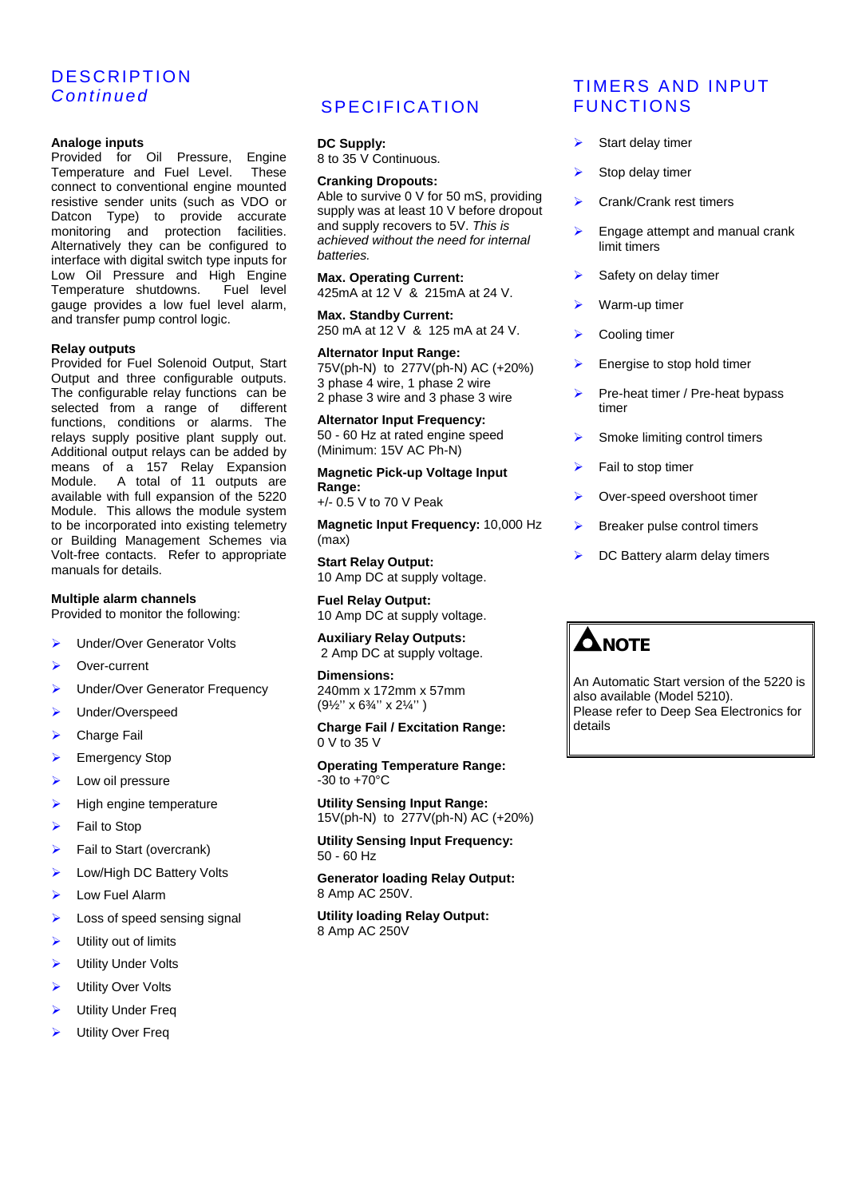# **DESCRIPTION** *Continued*

### **Analoge inputs**

Provided for Oil Pressure, Engine Temperature and Fuel Level. These connect to conventional engine mounted resistive sender units (such as VDO or Datcon Type) to provide accurate monitoring and protection facilities. Alternatively they can be configured to interface with digital switch type inputs for Low Oil Pressure and High Engine Temperature shutdowns. Fuel level gauge provides a low fuel level alarm, and transfer pump control logic.

#### **Relay outputs**

Provided for Fuel Solenoid Output, Start Output and three configurable outputs. The configurable relay functions can be selected from a range of different functions, conditions or alarms. The relays supply positive plant supply out. Additional output relays can be added by means of a 157 Relay Expansion Module. A total of 11 outputs are available with full expansion of the 5220 Module. This allows the module system to be incorporated into existing telemetry or Building Management Schemes via Volt-free contacts. Refer to appropriate manuals for details.

### **Multiple alarm channels**

Provided to monitor the following:

- Under/Over Generator Volts
- Over-current
- Under/Over Generator Frequency
- Under/Overspeed
- **Charge Fail**
- Emergency Stop
- Low oil pressure
- High engine temperature
- Fail to Stop
- Fail to Start (overcrank)
- Low/High DC Battery Volts
- Low Fuel Alarm
- Loss of speed sensing signal
- Utility out of limits
- Utility Under Volts
- Utility Over Volts
- Utility Under Freq
- Utility Over Freq

# **SPECIFICATION**

**DC Supply:** 8 to 35 V Continuous.

#### **Cranking Dropouts:**

Able to survive 0 V for 50 mS, providing supply was at least 10 V before dropout and supply recovers to 5V. *This is achieved without the need for internal batteries.*

**Max. Operating Current:** 425mA at 12 V & 215mA at 24 V.

**Max. Standby Current:** 250 mA at 12 V & 125 mA at 24 V.

**Alternator Input Range:** 75V(ph-N) to 277V(ph-N) AC (+20%) 3 phase 4 wire, 1 phase 2 wire 2 phase 3 wire and 3 phase 3 wire

**Alternator Input Frequency:** 50 - 60 Hz at rated engine speed (Minimum: 15V AC Ph-N)

**Magnetic Pick-up Voltage Input Range:**

+/- 0.5 V to 70 V Peak

**Magnetic Input Frequency:** 10,000 Hz (max)

**Start Relay Output:** 10 Amp DC at supply voltage.

**Fuel Relay Output:** 10 Amp DC at supply voltage.

**Auxiliary Relay Outputs:** 2 Amp DC at supply voltage.

**Dimensions:** 240mm x 172mm x 57mm (9½'' x 6¾'' x 2¼'' )

**Charge Fail / Excitation Range:** 0 V to 35 V

**Operating Temperature Range:** -30 to +70°C

**Utility Sensing Input Range:** 15V(ph-N) to 277V(ph-N) AC (+20%)

**Utility Sensing Input Frequency:** 50 - 60 Hz

**Generator loading Relay Output:** 8 Amp AC 250V.

**Utility loading Relay Output:** 8 Amp AC 250V

# TIMERS AND INPUT FUNCTIONS

- $\triangleright$  Start delay timer
- Stop delay timer
- ▶ Crank/Crank rest timers
- Engage attempt and manual crank limit timers
- Safety on delay timer
- $\triangleright$  Warm-up timer
- ▶ Cooling timer
- $\triangleright$  Energise to stop hold timer
- $\triangleright$  Pre-heat timer / Pre-heat bypass timer
- $\triangleright$  Smoke limiting control timers
- Fail to stop timer
- ▶ Over-speed overshoot timer
- $\triangleright$  Breaker pulse control timers
- DC Battery alarm delay timers



An Automatic Start version of the 5220 is also available (Model 5210). Please refer to Deep Sea Electronics for details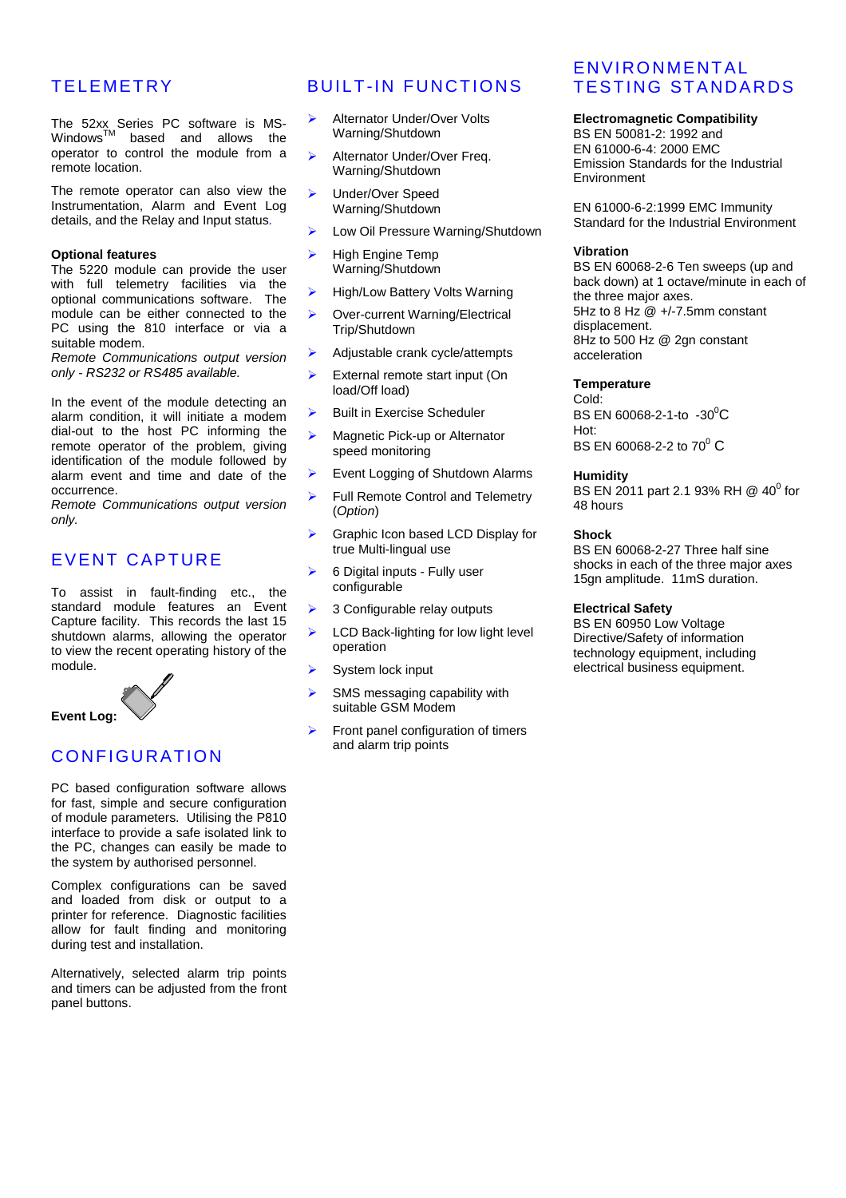# **TELEMETRY**

The 52xx Series PC software is MS- $\mathsf{Windows}^{\mathsf{TM}}$  based and allows the operator to control the module from a remote location.

The remote operator can also view the Instrumentation, Alarm and Event Log details, and the Relay and Input status*.*

#### **Optional features**

The 5220 module can provide the user with full telemetry facilities via the optional communications software. The module can be either connected to the PC using the 810 interface or via a suitable modem.

*Remote Communications output version only - RS232 or RS485 available.*

In the event of the module detecting an alarm condition, it will initiate a modem dial-out to the host PC informing the remote operator of the problem, giving identification of the module followed by alarm event and time and date of the occurrence.

*Remote Communications output version only.*

## EVENT CAPTURE

To assist in fault-finding etc., the standard module features an Event Capture facility. This records the last 15 shutdown alarms, allowing the operator to view the recent operating history of the module.



# CONFIGURATION

PC based configuration software allows for fast, simple and secure configuration of module parameters. Utilising the P810 interface to provide a safe isolated link to the PC, changes can easily be made to the system by authorised personnel.

Complex configurations can be saved and loaded from disk or output to a printer for reference. Diagnostic facilities allow for fault finding and monitoring during test and installation.

Alternatively, selected alarm trip points and timers can be adjusted from the front panel buttons.

# BUILT-IN FUNCTIONS

- Alternator Under/Over Volts Warning/Shutdown
- Alternator Under/Over Freq. Warning/Shutdown
- Under/Over Speed Warning/Shutdown
- Low Oil Pressure Warning/Shutdown
- $\blacktriangleright$  High Engine Temp Warning/Shutdown
- ▶ High/Low Battery Volts Warning
- ▶ Over-current Warning/Electrical Trip/Shutdown
- $\blacktriangleright$  Adjustable crank cycle/attempts
- $\triangleright$  External remote start input (On load/Off load)
- $\triangleright$  Built in Exercise Scheduler
- **EXECUTE:** Magnetic Pick-up or Alternator speed monitoring
- Event Logging of Shutdown Alarms
- Full Remote Control and Telemetry (*Option*)
- Graphic Icon based LCD Display for true Multi-lingual use
- $\geq$  6 Digital inputs Fully user configurable
- > 3 Configurable relay outputs
- $\blacktriangleright$  LCD Back-lighting for low light level operation
- System lock input
- SMS messaging capability with suitable GSM Modem
- Front panel configuration of timers and alarm trip points

# ENVIRONMENTAL TESTING STANDARDS

### **Electromagnetic Compatibility**

BS EN 50081-2: 1992 and EN 61000-6-4: 2000 EMC Emission Standards for the Industrial Environment

EN 61000-6-2:1999 EMC Immunity Standard for the Industrial Environment

#### **Vibration**

BS EN 60068-2-6 Ten sweeps (up and back down) at 1 octave/minute in each of the three major axes. 5Hz to 8 Hz @ +/-7.5mm constant displacement. 8Hz to 500 Hz @ 2gn constant acceleration

### **Temperature**

Cold: BS EN 60068-2-1-to  $-30^{\circ}$ C Hot: BS EN 60068-2-2 to 70 $^{\rm o}$  C

#### **Humidity**

BS EN 2011 part 2.1 93% RH @ 40<sup>0</sup> for 48 hours

### **Shock**

BS EN 60068-2-27 Three half sine shocks in each of the three major axes 15gn amplitude. 11mS duration.

#### **Electrical Safety**

BS EN 60950 Low Voltage Directive/Safety of information technology equipment, including electrical business equipment.